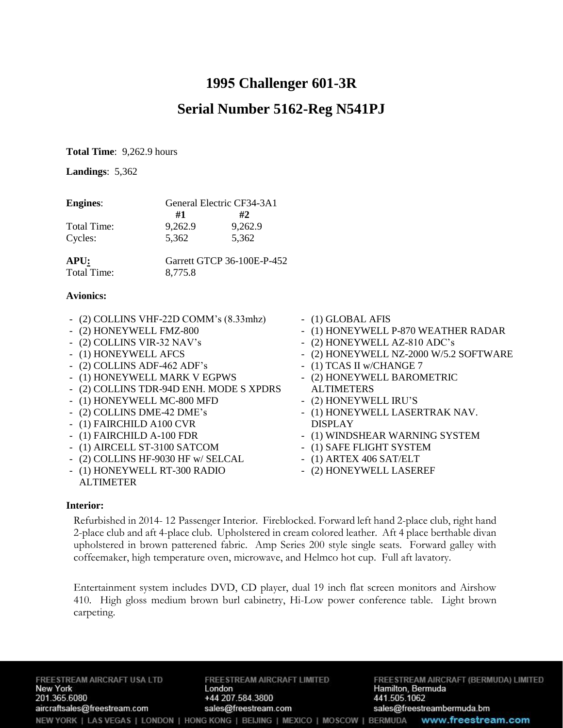# **1995 Challenger 601-3R**

## **Serial Number 5162-Reg N541PJ**

**Total Time**: 9,262.9 hours

**Landings**: 5,362

| <b>Engines:</b> | General Electric CF34-3A1 |         |
|-----------------|---------------------------|---------|
|                 | #1                        | #2.     |
| Total Time:     | 9,262.9                   | 9,262.9 |
| Cycles:         | 5.362                     | 5,362   |

| APU:        | Garrett GTCP 36-100E-P-452 |
|-------------|----------------------------|
| Total Time: | 8,775.8                    |

#### **Avionics:**

- (2) COLLINS VHF-22D COMM's (8.33mhz)
- (2) HONEYWELL FMZ-800
- (2) COLLINS VIR-32 NAV's
- (1) HONEYWELL AFCS
- (2) COLLINS ADF-462 ADF's
- (1) HONEYWELL MARK V EGPWS
- (2) COLLINS TDR-94D ENH. MODE S XPDRS
- (1) HONEYWELL MC-800 MFD
- (2) COLLINS DME-42 DME's
- (1) FAIRCHILD A100 CVR
- (1) FAIRCHILD A-100 FDR
- (1) AIRCELL ST-3100 SATCOM
- (2) COLLINS HF-9030 HF w/ SELCAL
- (1) HONEYWELL RT-300 RADIO
- ALTIMETER
- (1) GLOBAL AFIS
- (1) HONEYWELL P-870 WEATHER RADAR
- (2) HONEYWELL AZ-810 ADC's
- (2) HONEYWELL NZ-2000 W/5.2 SOFTWARE
- (1) TCAS II w/CHANGE 7
- (2) HONEYWELL BAROMETRIC ALTIMETERS
- (2) HONEYWELL IRU'S
- (1) HONEYWELL LASERTRAK NAV. DISPLAY
- (1) WINDSHEAR WARNING SYSTEM
- (1) SAFE FLIGHT SYSTEM
- (1) ARTEX 406 SAT/ELT
- (2) HONEYWELL LASEREF

#### **Interior:**

Refurbished in 2014- 12 Passenger Interior. Fireblocked. Forward left hand 2-place club, right hand 2-place club and aft 4-place club. Upholstered in cream colored leather. Aft 4 place berthable divan upholstered in brown patterened fabric. Amp Series 200 style single seats. Forward galley with coffeemaker, high temperature oven, microwave, and Helmco hot cup. Full aft lavatory.

Entertainment system includes DVD, CD player, dual 19 inch flat screen monitors and Airshow 410. High gloss medium brown burl cabinetry, Hi-Low power conference table. Light brown carpeting.

FREESTREAM AIRCRAFT USA LTD **New York** 201.365.6080 aircraftsales@freestream.com

FREESTREAM AIRCRAFT LIMITED London +44 207.584.3800 sales@freestream.com

FREESTREAM AIRCRAFT (BERMUDA) LIMITED Hamilton, Bermuda 441.505.1062 sales@freestreambermuda.bm NEW YORK | LAS VEGAS | LONDON | HONG KONG | BEIJING | MEXICO | MOSCOW | BERMUDA www.freestream.com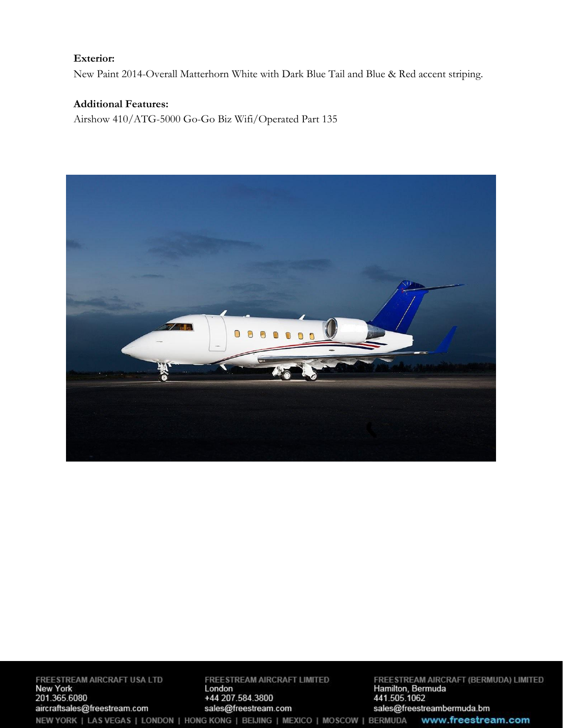#### **Exterior:**

New Paint 2014-Overall Matterhorn White with Dark Blue Tail and Blue & Red accent striping.

### **Additional Features:**

Airshow 410/ATG-5000 Go-Go Biz Wifi/Operated Part 135



FREESTREAM AIRCRAFT USA LTD<br>New York<br>201.365.6080 aircraftsales@freestream.com NEW YORK | LAS VEGAS | LONDON | HONG KONG | BEIJING | MEXICO | MOSCOW | BERMUDA

FREESTREAM AIRCRAFT LIMITED London +44 207.584.3800 sales@freestream.com

FREESTREAM AIRCRAFT (BERMUDA) LIMITED<br>Hamilton, Bermuda<br>441.505.1062 sales@freestreambermuda.bm www.freestream.com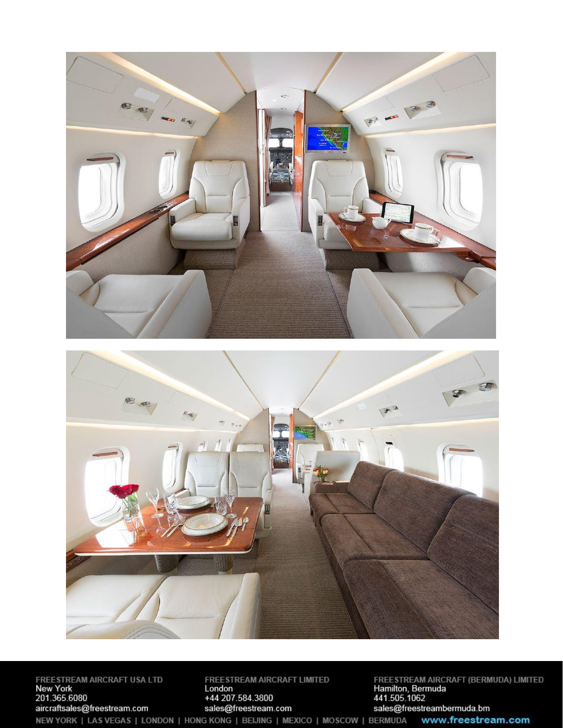

FREESTREAM AIRCRAFT USA LTD<br>New York<br>201.365.6080 aircraftsales@freestream.com NEW YORK | LAS VEGAS | LONDON | HONG KONG | BEIJING | MEXICO | MOSCOW | BERMUDA

FREESTREAM AIRCRAFT LIMITED<br>London +44 207.584.3800 sales@freestream.com

FREESTREAM AIRCRAFT (BERMUDA) LIMITED<br>Hamilton, Bermuda<br>441.505.1062 sales@freestreambermuda.bm www.freestream.com